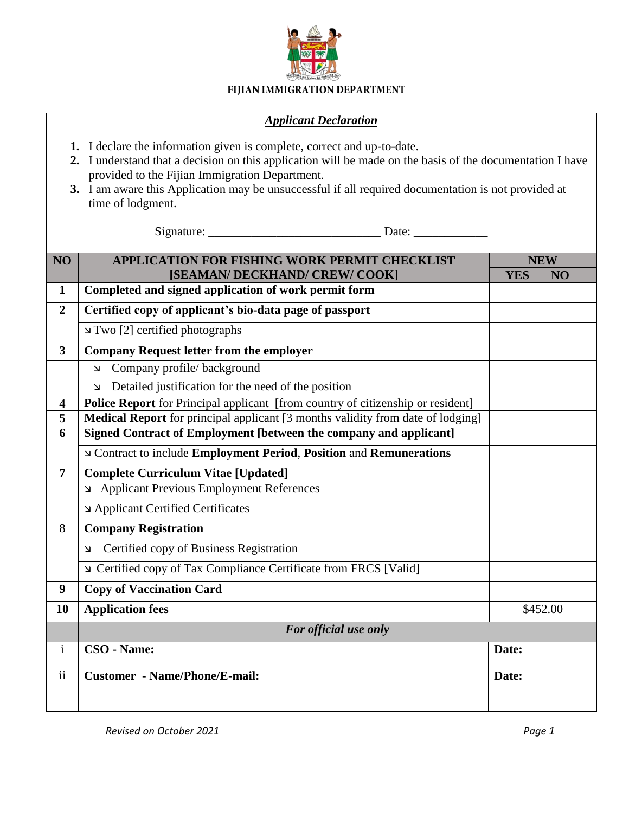

## FIJIAN IMMIGRATION DEPARTMENT

## *Applicant Declaration*

- **1.** I declare the information given is complete, correct and up-to-date.
- **2.** I understand that a decision on this application will be made on the basis of the documentation I have provided to the Fijian Immigration Department.
- **3.** I am aware this Application may be unsuccessful if all required documentation is not provided at time of lodgment.

Signature: \_\_\_\_\_\_\_\_\_\_\_\_\_\_\_\_\_\_\_\_\_\_\_\_\_\_\_\_ Date: \_\_\_\_\_\_\_\_\_\_\_\_

| NO                      | <b>APPLICATION FOR FISHING WORK PERMIT CHECKLIST</b>                            | <b>NEW</b> |                |
|-------------------------|---------------------------------------------------------------------------------|------------|----------------|
|                         | [SEAMAN/ DECKHAND/ CREW/ COOK]                                                  | <b>YES</b> | N <sub>O</sub> |
| $\mathbf{1}$            | Completed and signed application of work permit form                            |            |                |
| $\overline{2}$          | Certified copy of applicant's bio-data page of passport                         |            |                |
|                         | Two [2] certified photographs                                                   |            |                |
| $\overline{\mathbf{3}}$ | <b>Company Request letter from the employer</b>                                 |            |                |
|                         | Company profile/background<br>$\mathbf{\Sigma}$                                 |            |                |
|                         | Detailed justification for the need of the position<br>$\overline{\mathbf{v}}$  |            |                |
| $\overline{\mathbf{4}}$ | Police Report for Principal applicant [from country of citizenship or resident] |            |                |
| 5                       | Medical Report for principal applicant [3 months validity from date of lodging] |            |                |
| 6                       | Signed Contract of Employment [between the company and applicant]               |            |                |
|                         | <b>No Contract to include Employment Period, Position and Remunerations</b>     |            |                |
| $\overline{7}$          | <b>Complete Curriculum Vitae [Updated]</b>                                      |            |                |
|                         | Applicant Previous Employment References                                        |            |                |
|                         | Applicant Certified Certificates                                                |            |                |
| 8                       | <b>Company Registration</b>                                                     |            |                |
|                         | Certified copy of Business Registration<br>لا                                   |            |                |
|                         | ⊾ Certified copy of Tax Compliance Certificate from FRCS [Valid]                |            |                |
| 9                       | <b>Copy of Vaccination Card</b>                                                 |            |                |
| 10                      | <b>Application fees</b>                                                         | \$452.00   |                |
|                         | For official use only                                                           |            |                |
| $\mathbf{i}$            | CSO - Name:                                                                     | Date:      |                |
| $\ddot{\mathbf{i}}$     | <b>Customer</b> - Name/Phone/E-mail:                                            | Date:      |                |
|                         |                                                                                 |            |                |
|                         |                                                                                 |            |                |